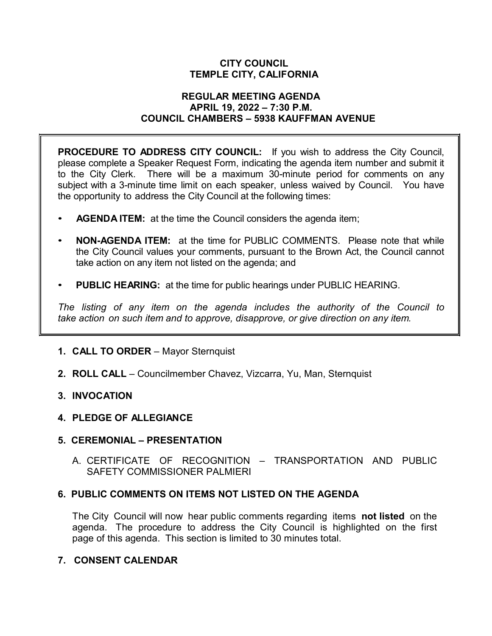### **CITY COUNCIL TEMPLE CITY, CALIFORNIA**

#### **REGULAR MEETING AGENDA APRIL 19, 2022 – 7:30 P.M. COUNCIL CHAMBERS – 5938 KAUFFMAN AVENUE**

**PROCEDURE TO ADDRESS CITY COUNCIL:** If you wish to address the City Council, please complete a Speaker Request Form, indicating the agenda item number and submit it to the City Clerk. There will be a maximum 30-minute period for comments on any subject with a 3-minute time limit on each speaker, unless waived by Council. You have the opportunity to address the City Council at the following times:

- **AGENDA ITEM:** at the time the Council considers the agenda item;
- **NON-AGENDA ITEM:** at the time for PUBLIC COMMENTS. Please note that while the City Council values your comments, pursuant to the Brown Act, the Council cannot take action on any item not listed on the agenda; and
- **PUBLIC HEARING:** at the time for public hearings under PUBLIC HEARING.

*The listing of any item on the agenda includes the authority of the Council to take action on such item and to approve, disapprove, or give direction on any item.*

### **1. CALL TO ORDER** – Mayor Sternquist

**2. ROLL CALL** – Councilmember Chavez, Vizcarra, Yu, Man, Sternquist

### **3. INVOCATION**

### **4. PLEDGE OF ALLEGIANCE**

### **5. CEREMONIAL – PRESENTATION**

A. CERTIFICATE OF RECOGNITION – TRANSPORTATION AND PUBLIC SAFETY COMMISSIONER PALMIERI

### **6. PUBLIC COMMENTS ON ITEMS NOT LISTED ON THE AGENDA**

The City Council will now hear public comments regarding items **not listed** on the agenda. The procedure to address the City Council is highlighted on the first page of this agenda. This section is limited to 30 minutes total.

# **7. CONSENT CALENDAR**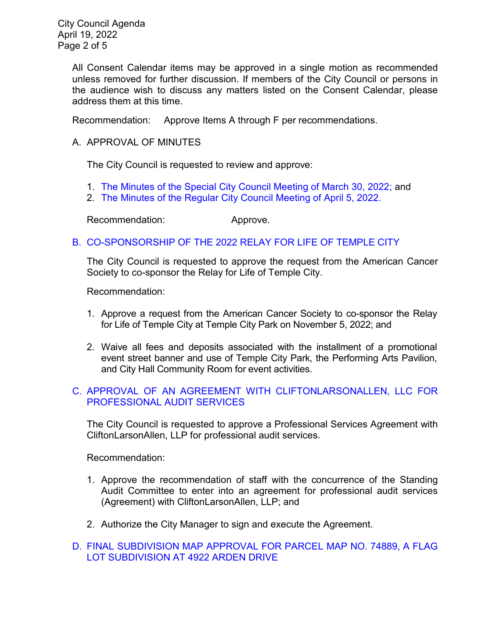City Council Agenda April 19, 2022 Page 2 of 5

> All Consent Calendar items may be approved in a single motion as recommended unless removed for further discussion. If members of the City Council or persons in the audience wish to discuss any matters listed on the Consent Calendar, please address them at this time.

Recommendation: Approve Items A through F per recommendations.

# A. APPROVAL OF MINUTES

The City Council is requested to review and approve:

- 1. [The Minutes of the Special City Council Meeting of March 30, 2022;](https://www.ci.temple-city.ca.us/DocumentCenter/View/17707/7A-1_CCM---2022-03-30-Sheriffs-Monthly) and
- 2. [The Minutes of the Regular City Council Meeting of April 5, 2022.](https://www.ci.temple-city.ca.us/DocumentCenter/View/17708/7A-2_CCM---2022-04-05)

Recommendation: Approve.

# B. [CO-SPONSORSHIP OF THE 2022 RELAY FOR LIFE OF TEMPLE CITY](https://www.ci.temple-city.ca.us/DocumentCenter/View/17709/7B_Relay-for-Life-Request-Staff-Report_v1-w-attachment)

The City Council is requested to approve the request from the American Cancer Society to co-sponsor the Relay for Life of Temple City.

Recommendation:

- 1. Approve a request from the American Cancer Society to co-sponsor the Relay for Life of Temple City at Temple City Park on November 5, 2022; and
- 2. Waive all fees and deposits associated with the installment of a promotional event street banner and use of Temple City Park, the Performing Arts Pavilion, and City Hall Community Room for event activities.

# C. [APPROVAL OF AN AGREEMENT WITH CLIFTONLARSONALLEN, LLC FOR](https://www.ci.temple-city.ca.us/DocumentCenter/View/17716/7C_Agreement-for-Audit-Services_Staff-Report-pk-comments-SP-Edits_V2-w-Attachment-B)  [PROFESSIONAL AUDIT SERVICES](https://www.ci.temple-city.ca.us/DocumentCenter/View/17716/7C_Agreement-for-Audit-Services_Staff-Report-pk-comments-SP-Edits_V2-w-Attachment-B)

The City Council is requested to approve a Professional Services Agreement with CliftonLarsonAllen, LLP for professional audit services.

Recommendation:

- 1. Approve the recommendation of staff with the concurrence of the Standing Audit Committee to enter into an agreement for professional audit services (Agreement) with CliftonLarsonAllen, LLP; and
- 2. Authorize the City Manager to sign and execute the Agreement.
- D. [FINAL SUBDIVISION MAP APPROVAL FOR PARCEL MAP NO. 74889, A FLAG](https://www.ci.temple-city.ca.us/DocumentCenter/View/17710/7D_Final-PM-74889-4922-Arden-Drive-_staff-report-sr-edits_pk)  [LOT SUBDIVISION AT 4922 ARDEN](https://www.ci.temple-city.ca.us/DocumentCenter/View/17710/7D_Final-PM-74889-4922-Arden-Drive-_staff-report-sr-edits_pk) DRIVE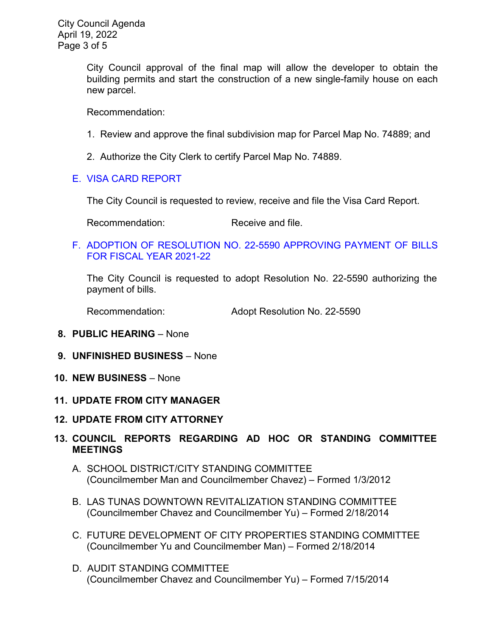City Council approval of the final map will allow the developer to obtain the building permits and start the construction of a new single-family house on each new parcel.

Recommendation:

- 1. Review and approve the final subdivision map for Parcel Map No. 74889; and
- 2. Authorize the City Clerk to certify Parcel Map No. 74889.

# E. [VISA CARD REPORT](https://www.ci.temple-city.ca.us/DocumentCenter/View/17711/7E_Visa-Card-Staff-Report)

The City Council is requested to review, receive and file the Visa Card Report.

Recommendation: Receive and file.

F. [ADOPTION OF RESOLUTION NO. 22-5590](https://www.ci.temple-city.ca.us/DocumentCenter/View/17712/7F_Reso-No-22-5590-41922---Warrants--Demands-FY-2021-2022-w-attachment) APPROVING PAYMENT OF BILLS [FOR FISCAL YEAR 2021-22](https://www.ci.temple-city.ca.us/DocumentCenter/View/17712/7F_Reso-No-22-5590-41922---Warrants--Demands-FY-2021-2022-w-attachment)

The City Council is requested to adopt Resolution No. 22-5590 authorizing the payment of bills.

Recommendation: Adopt Resolution No. 22-5590

- **8. PUBLIC HEARING** None
- **9. UNFINISHED BUSINESS** None
- **10. NEW BUSINESS**  None
- **11. UPDATE FROM CITY MANAGER**
- **12. UPDATE FROM CITY ATTORNEY**

# **13. COUNCIL REPORTS REGARDING AD HOC OR STANDING COMMITTEE MEETINGS**

- A. SCHOOL DISTRICT/CITY STANDING COMMITTEE (Councilmember Man and Councilmember Chavez) – Formed 1/3/2012
- B. LAS TUNAS DOWNTOWN REVITALIZATION STANDING COMMITTEE (Councilmember Chavez and Councilmember Yu) – Formed 2/18/2014
- C. FUTURE DEVELOPMENT OF CITY PROPERTIES STANDING COMMITTEE (Councilmember Yu and Councilmember Man) – Formed 2/18/2014
- D. AUDIT STANDING COMMITTEE (Councilmember Chavez and Councilmember Yu) – Formed 7/15/2014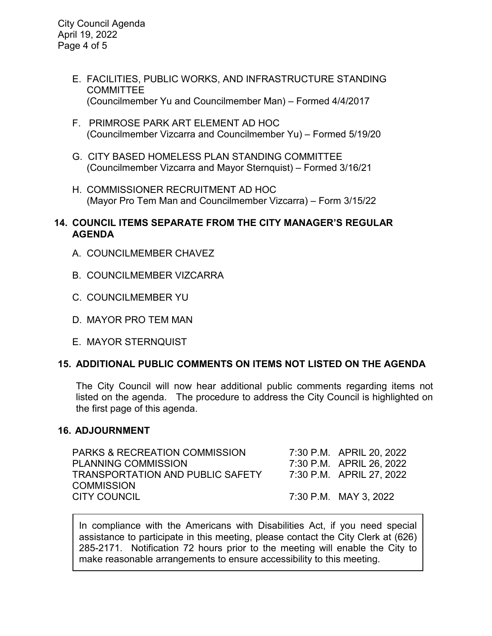City Council Agenda April 19, 2022 Page 4 of 5

- E. FACILITIES, PUBLIC WORKS, AND INFRASTRUCTURE STANDING COMMITTEE (Councilmember Yu and Councilmember Man) – Formed 4/4/2017
- F. PRIMROSE PARK ART ELEMENT AD HOC (Councilmember Vizcarra and Councilmember Yu) – Formed 5/19/20
- G. CITY BASED HOMELESS PLAN STANDING COMMITTEE (Councilmember Vizcarra and Mayor Sternquist) – Formed 3/16/21
- H. COMMISSIONER RECRUITMENT AD HOC (Mayor Pro Tem Man and Councilmember Vizcarra) – Form 3/15/22

### **14. COUNCIL ITEMS SEPARATE FROM THE CITY MANAGER'S REGULAR AGENDA**

- A. COUNCILMEMBER CHAVEZ
- B. COUNCILMEMBER VIZCARRA
- C. COUNCILMEMBER YU
- D. MAYOR PRO TEM MAN
- E. MAYOR STERNQUIST

### **15. ADDITIONAL PUBLIC COMMENTS ON ITEMS NOT LISTED ON THE AGENDA**

The City Council will now hear additional public comments regarding items not listed on the agenda. The procedure to address the City Council is highlighted on the first page of this agenda.

### **16. ADJOURNMENT**

| PARKS & RECREATION COMMISSION    | 7:30 P.M. APRIL 20, 2022 |
|----------------------------------|--------------------------|
| PLANNING COMMISSION              | 7:30 P.M. APRIL 26, 2022 |
| TRANSPORTATION AND PUBLIC SAFETY | 7:30 P.M. APRIL 27, 2022 |
| COMMISSION                       |                          |
| CITY COUNCIL                     | 7:30 P.M. MAY 3, 2022    |
|                                  |                          |

In compliance with the Americans with Disabilities Act, if you need special assistance to participate in this meeting, please contact the City Clerk at (626) 285-2171. Notification 72 hours prior to the meeting will enable the City to make reasonable arrangements to ensure accessibility to this meeting.